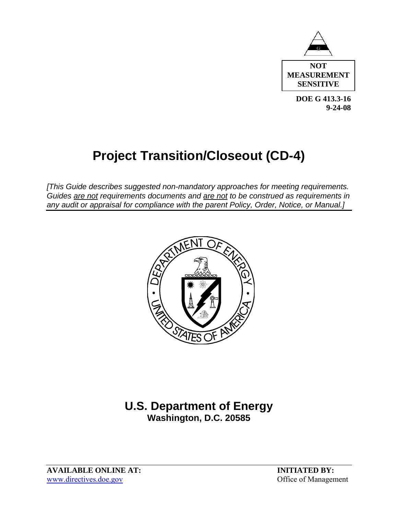

 **DOE G 413.3-16 9-24-08** 

# **Project Transition/Closeout (CD-4)**

*[This Guide describes suggested non-mandatory approaches for meeting requirements. Guides are not requirements documents and are not to be construed as requirements in any audit or appraisal for compliance with the parent Policy, Order, Notice, or Manual.]*



# **U.S. Department of Energy Washington, D.C. 20585**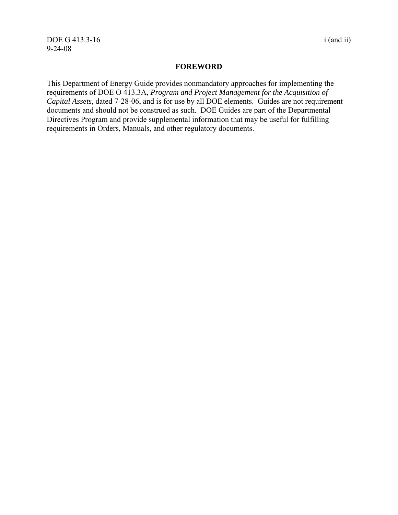#### **FOREWORD**

This Department of Energy Guide provides nonmandatory approaches for implementing the requirements of DOE O 413.3A, *Program and Project Management for the Acquisition of Capital Assets*, dated 7-28-06, and is for use by all DOE elements. Guides are not requirement documents and should not be construed as such. DOE Guides are part of the Departmental Directives Program and provide supplemental information that may be useful for fulfilling requirements in Orders, Manuals, and other regulatory documents.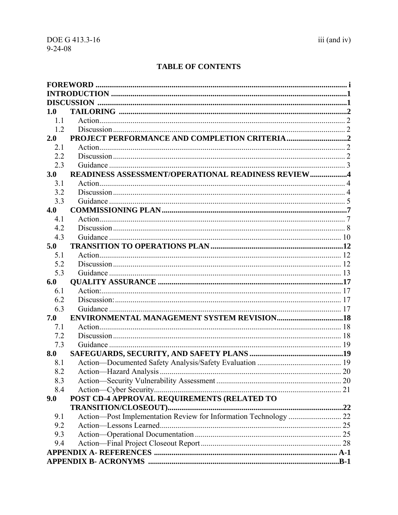## **TABLE OF CONTENTS**

| 1.0        |                                                    |  |
|------------|----------------------------------------------------|--|
| 1.1        |                                                    |  |
| 1.2        |                                                    |  |
| 2.0        |                                                    |  |
| 2.1        |                                                    |  |
| 2.2        |                                                    |  |
| 2.3        |                                                    |  |
| 3.0        | READINESS ASSESSMENT/OPERATIONAL READINESS REVIEW4 |  |
| 3.1        |                                                    |  |
| 3.2        |                                                    |  |
| 3.3        |                                                    |  |
| 4.0        |                                                    |  |
| 4.1        |                                                    |  |
| 4.2        |                                                    |  |
| 4.3        |                                                    |  |
| 5.0        |                                                    |  |
| 5.1        |                                                    |  |
| 5.2        |                                                    |  |
| 5.3        |                                                    |  |
| 6.0        |                                                    |  |
| 6.1        |                                                    |  |
| 6.2        |                                                    |  |
| 6.3<br>7.0 | <b>ENVIRONMENTAL MANAGEMENT SYSTEM REVISION18</b>  |  |
|            |                                                    |  |
| 7.1<br>7.2 |                                                    |  |
| 7.3        |                                                    |  |
| 8.0        |                                                    |  |
| 8.1        |                                                    |  |
| 8.2        |                                                    |  |
| 8.3        |                                                    |  |
| 8.4        |                                                    |  |
| 9.0        | POST CD-4 APPROVAL REQUIREMENTS (RELATED TO        |  |
|            |                                                    |  |
| 9.1        |                                                    |  |
| 9.2        |                                                    |  |
| 9.3        |                                                    |  |
| 9.4        |                                                    |  |
|            |                                                    |  |
|            |                                                    |  |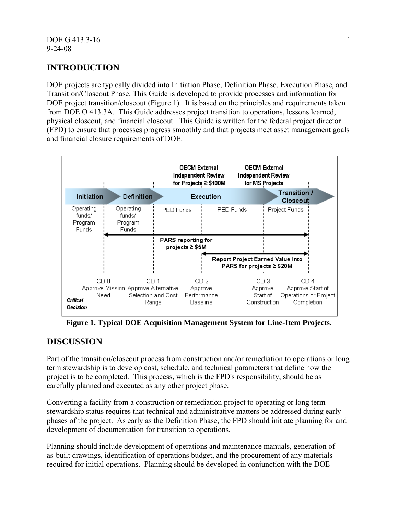## **INTRODUCTION**

DOE projects are typically divided into Initiation Phase, Definition Phase, Execution Phase, and Transition/Closeout Phase. This Guide is developed to provide processes and information for DOE project transition/closeout (Figure 1). It is based on the principles and requirements taken from DOE O 413.3A. This Guide addresses project transition to operations, lessons learned, physical closeout, and financial closeout. This Guide is written for the federal project director (FPD) to ensure that processes progress smoothly and that projects meet asset management goals and financial closure requirements of DOE.



**Figure 1. Typical DOE Acquisition Management System for Line-Item Projects.** 

## **DISCUSSION**

Part of the transition/closeout process from construction and/or remediation to operations or long term stewardship is to develop cost, schedule, and technical parameters that define how the project is to be completed. This process, which is the FPD's responsibility, should be as carefully planned and executed as any other project phase.

Converting a facility from a construction or remediation project to operating or long term stewardship status requires that technical and administrative matters be addressed during early phases of the project. As early as the Definition Phase, the FPD should initiate planning for and development of documentation for transition to operations.

Planning should include development of operations and maintenance manuals, generation of as-built drawings, identification of operations budget, and the procurement of any materials required for initial operations. Planning should be developed in conjunction with the DOE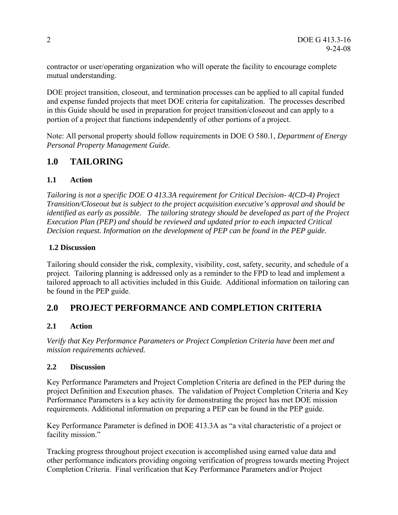contractor or user/operating organization who will operate the facility to encourage complete mutual understanding.

DOE project transition, closeout, and termination processes can be applied to all capital funded and expense funded projects that meet DOE criteria for capitalization. The processes described in this Guide should be used in preparation for project transition/closeout and can apply to a portion of a project that functions independently of other portions of a project.

Note: All personal property should follow requirements in DOE O 580.1, *Department of Energy Personal Property Management Guide.* 

## **1.0 TAILORING**

#### **1.1 Action**

*Tailoring is not a specific DOE O 413.3A requirement for Critical Decision- 4(CD-4) Project Transition/Closeout but is subject to the project acquisition executive's approval and should be identified as early as possible. The tailoring strategy should be developed as part of the Project Execution Plan (PEP) and should be reviewed and updated prior to each impacted Critical Decision request. Information on the development of PEP can be found in the PEP guide.* 

#### **1.2 Discussion**

Tailoring should consider the risk, complexity, visibility, cost, safety, security, and schedule of a project. Tailoring planning is addressed only as a reminder to the FPD to lead and implement a tailored approach to all activities included in this Guide. Additional information on tailoring can be found in the PEP guide.

## **2.0 PROJECT PERFORMANCE AND COMPLETION CRITERIA**

#### **2.1 Action**

*Verify that Key Performance Parameters or Project Completion Criteria have been met and mission requirements achieved.*

#### **2.2 Discussion**

Key Performance Parameters and Project Completion Criteria are defined in the PEP during the project Definition and Execution phases. The validation of Project Completion Criteria and Key Performance Parameters is a key activity for demonstrating the project has met DOE mission requirements. Additional information on preparing a PEP can be found in the PEP guide.

Key Performance Parameter is defined in DOE 413.3A as "a vital characteristic of a project or facility mission."

Tracking progress throughout project execution is accomplished using earned value data and other performance indicators providing ongoing verification of progress towards meeting Project Completion Criteria. Final verification that Key Performance Parameters and/or Project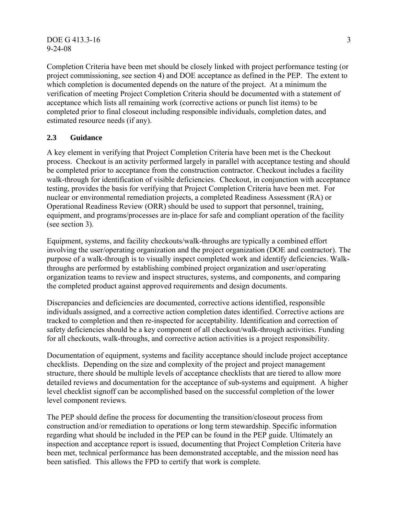#### DOE G 413.3-16 3 9-24-08

Completion Criteria have been met should be closely linked with project performance testing (or project commissioning, see section 4) and DOE acceptance as defined in the PEP. The extent to which completion is documented depends on the nature of the project. At a minimum the verification of meeting Project Completion Criteria should be documented with a statement of acceptance which lists all remaining work (corrective actions or punch list items) to be completed prior to final closeout including responsible individuals, completion dates, and estimated resource needs (if any).

#### **2.3 Guidance**

A key element in verifying that Project Completion Criteria have been met is the Checkout process. Checkout is an activity performed largely in parallel with acceptance testing and should be completed prior to acceptance from the construction contractor. Checkout includes a facility walk-through for identification of visible deficiencies. Checkout, in conjunction with acceptance testing, provides the basis for verifying that Project Completion Criteria have been met. For nuclear or environmental remediation projects, a completed Readiness Assessment (RA) or Operational Readiness Review (ORR) should be used to support that personnel, training, equipment, and programs/processes are in-place for safe and compliant operation of the facility (see section 3).

Equipment, systems, and facility checkouts/walk-throughs are typically a combined effort involving the user/operating organization and the project organization (DOE and contractor). The purpose of a walk-through is to visually inspect completed work and identify deficiencies. Walkthroughs are performed by establishing combined project organization and user/operating organization teams to review and inspect structures, systems, and components, and comparing the completed product against approved requirements and design documents.

Discrepancies and deficiencies are documented, corrective actions identified, responsible individuals assigned, and a corrective action completion dates identified. Corrective actions are tracked to completion and then re-inspected for acceptability. Identification and correction of safety deficiencies should be a key component of all checkout/walk-through activities. Funding for all checkouts, walk-throughs, and corrective action activities is a project responsibility.

Documentation of equipment, systems and facility acceptance should include project acceptance checklists. Depending on the size and complexity of the project and project management structure, there should be multiple levels of acceptance checklists that are tiered to allow more detailed reviews and documentation for the acceptance of sub-systems and equipment. A higher level checklist signoff can be accomplished based on the successful completion of the lower level component reviews.

The PEP should define the process for documenting the transition/closeout process from construction and/or remediation to operations or long term stewardship. Specific information regarding what should be included in the PEP can be found in the PEP guide. Ultimately an inspection and acceptance report is issued, documenting that Project Completion Criteria have been met, technical performance has been demonstrated acceptable, and the mission need has been satisfied. This allows the FPD to certify that work is complete.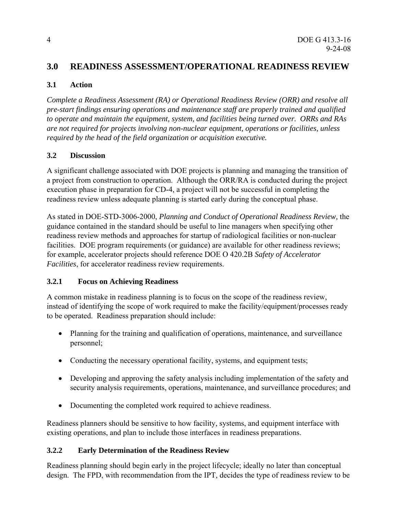## **3.0 READINESS ASSESSMENT/OPERATIONAL READINESS REVIEW**

#### **3.1 Action**

*Complete a Readiness Assessment (RA) or Operational Readiness Review (ORR) and resolve all pre-start findings ensuring operations and maintenance staff are properly trained and qualified to operate and maintain the equipment, system, and facilities being turned over. ORRs and RAs are not required for projects involving non-nuclear equipment, operations or facilities, unless required by the head of the field organization or acquisition executive.* 

#### **3.2 Discussion**

A significant challenge associated with DOE projects is planning and managing the transition of a project from construction to operation. Although the ORR/RA is conducted during the project execution phase in preparation for CD-4, a project will not be successful in completing the readiness review unless adequate planning is started early during the conceptual phase.

As stated in DOE-STD-3006-2000, *Planning and Conduct of Operational Readiness Review,* the guidance contained in the standard should be useful to line managers when specifying other readiness review methods and approaches for startup of radiological facilities or non-nuclear facilities. DOE program requirements (or guidance) are available for other readiness reviews; for example, accelerator projects should reference DOE O 420.2B *Safety of Accelerator Facilities*, for accelerator readiness review requirements.

## **3.2.1 Focus on Achieving Readiness**

A common mistake in readiness planning is to focus on the scope of the readiness review, instead of identifying the scope of work required to make the facility/equipment/processes ready to be operated. Readiness preparation should include:

- Planning for the training and qualification of operations, maintenance, and surveillance personnel;
- Conducting the necessary operational facility, systems, and equipment tests;
- Developing and approving the safety analysis including implementation of the safety and security analysis requirements, operations, maintenance, and surveillance procedures; and
- Documenting the completed work required to achieve readiness.

Readiness planners should be sensitive to how facility, systems, and equipment interface with existing operations, and plan to include those interfaces in readiness preparations.

## **3.2.2 Early Determination of the Readiness Review**

Readiness planning should begin early in the project lifecycle; ideally no later than conceptual design. The FPD, with recommendation from the IPT, decides the type of readiness review to be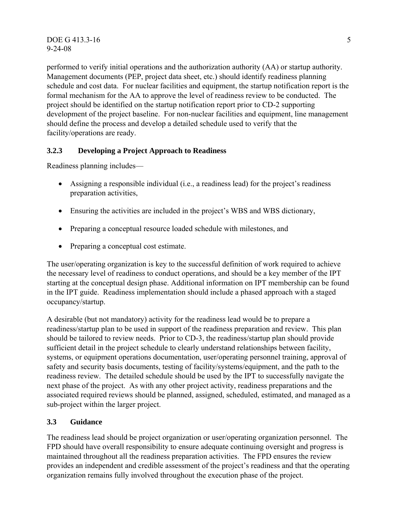DOE G 413.3-16 5 9-24-08

performed to verify initial operations and the authorization authority (AA) or startup authority. Management documents (PEP, project data sheet, etc.) should identify readiness planning schedule and cost data. For nuclear facilities and equipment, the startup notification report is the formal mechanism for the AA to approve the level of readiness review to be conducted. The project should be identified on the startup notification report prior to CD-2 supporting development of the project baseline. For non-nuclear facilities and equipment, line management should define the process and develop a detailed schedule used to verify that the facility/operations are ready.

#### **3.2.3 Developing a Project Approach to Readiness**

Readiness planning includes—

- Assigning a responsible individual (i.e., a readiness lead) for the project's readiness preparation activities,
- Ensuring the activities are included in the project's WBS and WBS dictionary,
- Preparing a conceptual resource loaded schedule with milestones, and
- Preparing a conceptual cost estimate.

The user/operating organization is key to the successful definition of work required to achieve the necessary level of readiness to conduct operations, and should be a key member of the IPT starting at the conceptual design phase. Additional information on IPT membership can be found in the IPT guide. Readiness implementation should include a phased approach with a staged occupancy/startup.

A desirable (but not mandatory) activity for the readiness lead would be to prepare a readiness/startup plan to be used in support of the readiness preparation and review. This plan should be tailored to review needs. Prior to CD-3, the readiness/startup plan should provide sufficient detail in the project schedule to clearly understand relationships between facility, systems, or equipment operations documentation, user/operating personnel training, approval of safety and security basis documents, testing of facility/systems/equipment, and the path to the readiness review. The detailed schedule should be used by the IPT to successfully navigate the next phase of the project. As with any other project activity, readiness preparations and the associated required reviews should be planned, assigned, scheduled, estimated, and managed as a sub-project within the larger project.

#### **3.3 Guidance**

The readiness lead should be project organization or user/operating organization personnel. The FPD should have overall responsibility to ensure adequate continuing oversight and progress is maintained throughout all the readiness preparation activities. The FPD ensures the review provides an independent and credible assessment of the project's readiness and that the operating organization remains fully involved throughout the execution phase of the project.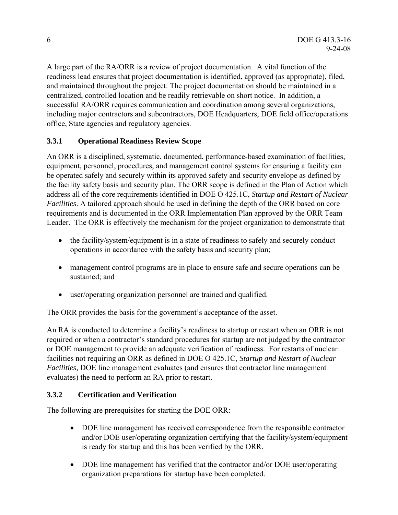A large part of the RA/ORR is a review of project documentation. A vital function of the readiness lead ensures that project documentation is identified, approved (as appropriate), filed, and maintained throughout the project. The project documentation should be maintained in a centralized, controlled location and be readily retrievable on short notice. In addition, a successful RA/ORR requires communication and coordination among several organizations, including major contractors and subcontractors, DOE Headquarters, DOE field office/operations office, State agencies and regulatory agencies.

## **3.3.1 Operational Readiness Review Scope**

An ORR is a disciplined, systematic, documented, performance-based examination of facilities, equipment, personnel, procedures, and management control systems for ensuring a facility can be operated safely and securely within its approved safety and security envelope as defined by the facility safety basis and security plan. The ORR scope is defined in the Plan of Action which address all of the core requirements identified in DOE O 425.1C, *Startup and Restart of Nuclear Facilities*. A tailored approach should be used in defining the depth of the ORR based on core requirements and is documented in the ORR Implementation Plan approved by the ORR Team Leader. The ORR is effectively the mechanism for the project organization to demonstrate that

- the facility/system/equipment is in a state of readiness to safely and securely conduct operations in accordance with the safety basis and security plan;
- management control programs are in place to ensure safe and secure operations can be sustained; and
- user/operating organization personnel are trained and qualified.

The ORR provides the basis for the government's acceptance of the asset.

An RA is conducted to determine a facility's readiness to startup or restart when an ORR is not required or when a contractor's standard procedures for startup are not judged by the contractor or DOE management to provide an adequate verification of readiness. For restarts of nuclear facilities not requiring an ORR as defined in DOE O 425.1C, *Startup and Restart of Nuclear Facilities,* DOE line management evaluates (and ensures that contractor line management evaluates) the need to perform an RA prior to restart.

## **3.3.2 Certification and Verification**

The following are prerequisites for starting the DOE ORR:

- DOE line management has received correspondence from the responsible contractor and/or DOE user/operating organization certifying that the facility/system/equipment is ready for startup and this has been verified by the ORR.
- DOE line management has verified that the contractor and/or DOE user/operating organization preparations for startup have been completed.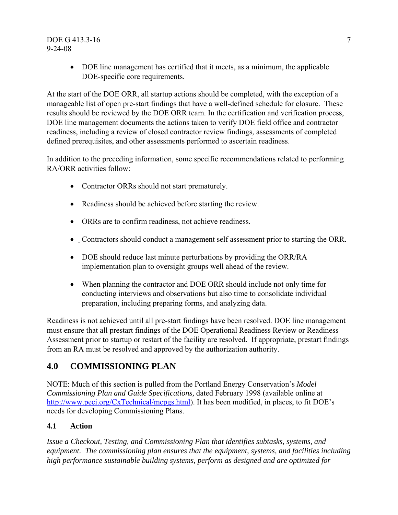#### DOE G 413.3-16 7 9-24-08

• DOE line management has certified that it meets, as a minimum, the applicable DOE-specific core requirements.

At the start of the DOE ORR, all startup actions should be completed, with the exception of a manageable list of open pre-start findings that have a well-defined schedule for closure. These results should be reviewed by the DOE ORR team. In the certification and verification process, DOE line management documents the actions taken to verify DOE field office and contractor readiness, including a review of closed contractor review findings, assessments of completed defined prerequisites, and other assessments performed to ascertain readiness.

In addition to the preceding information, some specific recommendations related to performing RA/ORR activities follow:

- Contractor ORRs should not start prematurely.
- Readiness should be achieved before starting the review.
- ORRs are to confirm readiness, not achieve readiness.
- Contractors should conduct a management self assessment prior to starting the ORR.
- DOE should reduce last minute perturbations by providing the ORR/RA implementation plan to oversight groups well ahead of the review.
- When planning the contractor and DOE ORR should include not only time for conducting interviews and observations but also time to consolidate individual preparation, including preparing forms, and analyzing data.

Readiness is not achieved until all pre-start findings have been resolved. DOE line management must ensure that all prestart findings of the DOE Operational Readiness Review or Readiness Assessment prior to startup or restart of the facility are resolved. If appropriate, prestart findings from an RA must be resolved and approved by the authorization authority.

## **4.0 COMMISSIONING PLAN**

NOTE: Much of this section is pulled from the Portland Energy Conservation's *Model Commissioning Plan and Guide Specifications,* dated February 1998 (available online at http://www.peci.org/CxTechnical/mcpgs.html). It has been modified, in places, to fit DOE's needs for developing Commissioning Plans.

#### **4.1 Action**

*Issue a Checkout, Testing, and Commissioning Plan that identifies subtasks, systems, and equipment. The commissioning plan ensures that the equipment, systems, and facilities including high performance sustainable building systems, perform as designed and are optimized for*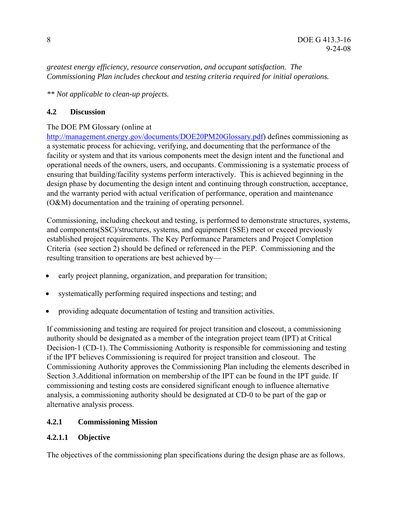*greatest energy efficiency, resource conservation, and occupant satisfaction. The Commissioning Plan includes checkout and testing criteria required for initial operations.* 

*\*\* Not applicable to clean-up projects.* 

## **4.2 Discussion**

## The DOE PM Glossary (online at

http://management.energy.gov/documents/DOE20PM20Glossary.pdf) defines commissioning as a systematic process for achieving, verifying, and documenting that the performance of the facility or system and that its various components meet the design intent and the functional and operational needs of the owners, users, and occupants. Commissioning is a systematic process of ensuring that building/facility systems perform interactively. This is achieved beginning in the design phase by documenting the design intent and continuing through construction, acceptance, and the warranty period with actual verification of performance, operation and maintenance (O&M) documentation and the training of operating personnel.

Commissioning, including checkout and testing, is performed to demonstrate structures, systems, and components(SSC)/structures, systems, and equipment (SSE) meet or exceed previously established project requirements. The Key Performance Parameters and Project Completion Criteria (see section 2) should be defined or referenced in the PEP. Commissioning and the resulting transition to operations are best achieved by—

- early project planning, organization, and preparation for transition;
- systematically performing required inspections and testing; and
- providing adequate documentation of testing and transition activities.

If commissioning and testing are required for project transition and closeout, a commissioning authority should be designated as a member of the integration project team (IPT) at Critical Decision-1 (CD-1). The Commissioning Authority is responsible for commissioning and testing if the IPT believes Commissioning is required for project transition and closeout. The Commissioning Authority approves the Commissioning Plan including the elements described in Section 3.Additional information on membership of the IPT can be found in the IPT guide. If commissioning and testing costs are considered significant enough to influence alternative analysis, a commissioning authority should be designated at CD-0 to be part of the gap or alternative analysis process.

## **4.2.1 Commissioning Mission**

## **4.2.1.1 Objective**

The objectives of the commissioning plan specifications during the design phase are as follows.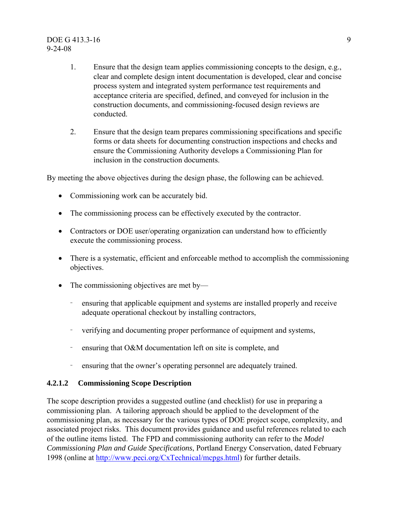#### DOE G 413.3-16 9 9-24-08

- 1. Ensure that the design team applies commissioning concepts to the design, e.g., clear and complete design intent documentation is developed, clear and concise process system and integrated system performance test requirements and acceptance criteria are specified, defined, and conveyed for inclusion in the construction documents, and commissioning-focused design reviews are conducted.
- 2. Ensure that the design team prepares commissioning specifications and specific forms or data sheets for documenting construction inspections and checks and ensure the Commissioning Authority develops a Commissioning Plan for inclusion in the construction documents.

By meeting the above objectives during the design phase, the following can be achieved.

- Commissioning work can be accurately bid.
- The commissioning process can be effectively executed by the contractor.
- Contractors or DOE user/operating organization can understand how to efficiently execute the commissioning process.
- There is a systematic, efficient and enforceable method to accomplish the commissioning objectives.
- The commissioning objectives are met by—
	- ensuring that applicable equipment and systems are installed properly and receive adequate operational checkout by installing contractors,
	- verifying and documenting proper performance of equipment and systems,
	- ensuring that O&M documentation left on site is complete, and
	- ensuring that the owner's operating personnel are adequately trained.

#### **4.2.1.2 Commissioning Scope Description**

The scope description provides a suggested outline (and checklist) for use in preparing a commissioning plan. A tailoring approach should be applied to the development of the commissioning plan, as necessary for the various types of DOE project scope, complexity, and associated project risks. This document provides guidance and useful references related to each of the outline items listed. The FPD and commissioning authority can refer to the *Model Commissioning Plan and Guide Specifications*, Portland Energy Conservation, dated February 1998 (online at http://www.peci.org/CxTechnical/mcpgs.html) for further details.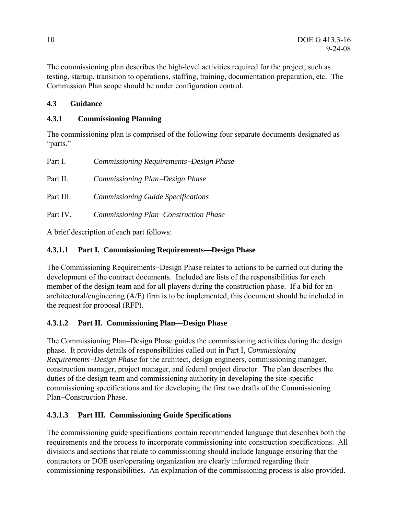The commissioning plan describes the high-level activities required for the project, such as testing, startup, transition to operations, staffing, training, documentation preparation, etc. The Commission Plan scope should be under configuration control.

## **4.3 Guidance**

## **4.3.1 Commissioning Planning**

The commissioning plan is comprised of the following four separate documents designated as "parts."

| Part I.   | Commissioning Requirements-Design Phase   |
|-----------|-------------------------------------------|
| Part II.  | Commissioning Plan-Design Phase           |
| Part III. | <b>Commissioning Guide Specifications</b> |
| Part IV.  | Commissioning Plan-Construction Phase     |

A brief description of each part follows:

## **4.3.1.1 Part I. Commissioning Requirements—Design Phase**

The Commissioning Requirements−Design Phase relates to actions to be carried out during the development of the contract documents. Included are lists of the responsibilities for each member of the design team and for all players during the construction phase. If a bid for an architectural/engineering (A/E) firm is to be implemented, this document should be included in the request for proposal (RFP).

## **4.3.1.2 Part II. Commissioning Plan—Design Phase**

The Commissioning Plan−Design Phase guides the commissioning activities during the design phase. It provides details of responsibilities called out in Part I, *Commissioning Requirements*−*Design Phase* for the architect, design engineers, commissioning manager, construction manager, project manager, and federal project director. The plan describes the duties of the design team and commissioning authority in developing the site-specific commissioning specifications and for developing the first two drafts of the Commissioning Plan−Construction Phase.

## **4.3.1.3 Part III. Commissioning Guide Specifications**

The commissioning guide specifications contain recommended language that describes both the requirements and the process to incorporate commissioning into construction specifications. All divisions and sections that relate to commissioning should include language ensuring that the contractors or DOE user/operating organization are clearly informed regarding their commissioning responsibilities. An explanation of the commissioning process is also provided.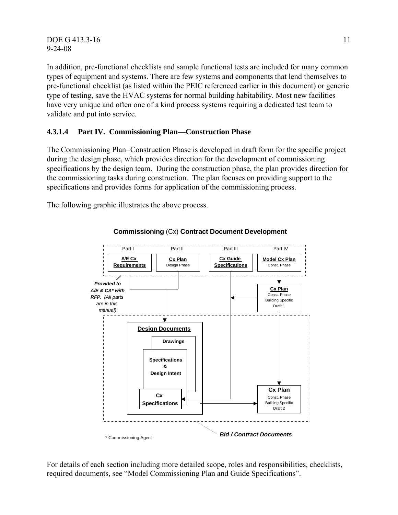DOE G 413.3-16 11 9-24-08

In addition, pre-functional checklists and sample functional tests are included for many common types of equipment and systems. There are few systems and components that lend themselves to pre-functional checklist (as listed within the PEIC referenced earlier in this document) or generic type of testing, save the HVAC systems for normal building habitability. Most new facilities have very unique and often one of a kind process systems requiring a dedicated test team to validate and put into service.

#### **4.3.1.4 Part IV. Commissioning Plan—Construction Phase**

The Commissioning Plan−Construction Phase is developed in draft form for the specific project during the design phase, which provides direction for the development of commissioning specifications by the design team. During the construction phase, the plan provides direction for the commissioning tasks during construction. The plan focuses on providing support to the specifications and provides forms for application of the commissioning process.

The following graphic illustrates the above process.



**Commissioning** (Cx) **Contract Document Development**

For details of each section including more detailed scope, roles and responsibilities, checklists, required documents, see "Model Commissioning Plan and Guide Specifications".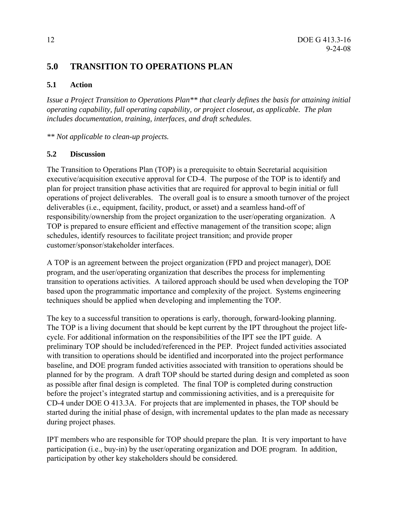## **5.0 TRANSITION TO OPERATIONS PLAN**

#### **5.1 Action**

*Issue a Project Transition to Operations Plan\*\* that clearly defines the basis for attaining initial operating capability, full operating capability, or project closeout, as applicable. The plan includes documentation, training, interfaces, and draft schedules*.

*\*\* Not applicable to clean-up projects.* 

#### **5.2 Discussion**

The Transition to Operations Plan (TOP) is a prerequisite to obtain Secretarial acquisition executive/acquisition executive approval for CD-4. The purpose of the TOP is to identify and plan for project transition phase activities that are required for approval to begin initial or full operations of project deliverables. The overall goal is to ensure a smooth turnover of the project deliverables (i.e., equipment, facility, product, or asset) and a seamless hand-off of responsibility/ownership from the project organization to the user/operating organization. A TOP is prepared to ensure efficient and effective management of the transition scope; align schedules, identify resources to facilitate project transition; and provide proper customer/sponsor/stakeholder interfaces.

A TOP is an agreement between the project organization (FPD and project manager), DOE program, and the user/operating organization that describes the process for implementing transition to operations activities. A tailored approach should be used when developing the TOP based upon the programmatic importance and complexity of the project. Systems engineering techniques should be applied when developing and implementing the TOP.

The key to a successful transition to operations is early, thorough, forward-looking planning. The TOP is a living document that should be kept current by the IPT throughout the project lifecycle. For additional information on the responsibilities of the IPT see the IPT guide. A preliminary TOP should be included/referenced in the PEP. Project funded activities associated with transition to operations should be identified and incorporated into the project performance baseline, and DOE program funded activities associated with transition to operations should be planned for by the program. A draft TOP should be started during design and completed as soon as possible after final design is completed. The final TOP is completed during construction before the project's integrated startup and commissioning activities, and is a prerequisite for CD-4 under DOE O 413.3A. For projects that are implemented in phases, the TOP should be started during the initial phase of design, with incremental updates to the plan made as necessary during project phases.

IPT members who are responsible for TOP should prepare the plan. It is very important to have participation (i.e., buy-in) by the user/operating organization and DOE program. In addition, participation by other key stakeholders should be considered.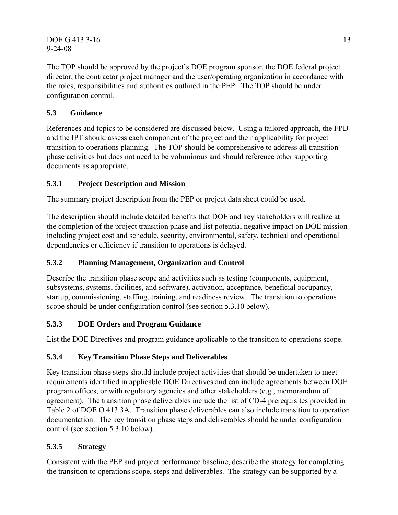DOE G 413.3-16 13 9-24-08

The TOP should be approved by the project's DOE program sponsor, the DOE federal project director, the contractor project manager and the user/operating organization in accordance with the roles, responsibilities and authorities outlined in the PEP. The TOP should be under configuration control.

## **5.3 Guidance**

References and topics to be considered are discussed below. Using a tailored approach, the FPD and the IPT should assess each component of the project and their applicability for project transition to operations planning. The TOP should be comprehensive to address all transition phase activities but does not need to be voluminous and should reference other supporting documents as appropriate.

## **5.3.1 Project Description and Mission**

The summary project description from the PEP or project data sheet could be used.

The description should include detailed benefits that DOE and key stakeholders will realize at the completion of the project transition phase and list potential negative impact on DOE mission including project cost and schedule, security, environmental, safety, technical and operational dependencies or efficiency if transition to operations is delayed.

## **5.3.2 Planning Management, Organization and Control**

Describe the transition phase scope and activities such as testing (components, equipment, subsystems, systems, facilities, and software), activation, acceptance, beneficial occupancy, startup, commissioning, staffing, training, and readiness review. The transition to operations scope should be under configuration control (see section 5.3.10 below).

## **5.3.3 DOE Orders and Program Guidance**

List the DOE Directives and program guidance applicable to the transition to operations scope.

## **5.3.4 Key Transition Phase Steps and Deliverables**

Key transition phase steps should include project activities that should be undertaken to meet requirements identified in applicable DOE Directives and can include agreements between DOE program offices, or with regulatory agencies and other stakeholders (e.g., memorandum of agreement). The transition phase deliverables include the list of CD-4 prerequisites provided in Table 2 of DOE O 413.3A. Transition phase deliverables can also include transition to operation documentation. The key transition phase steps and deliverables should be under configuration control (see section 5.3.10 below).

## **5.3.5 Strategy**

Consistent with the PEP and project performance baseline, describe the strategy for completing the transition to operations scope, steps and deliverables. The strategy can be supported by a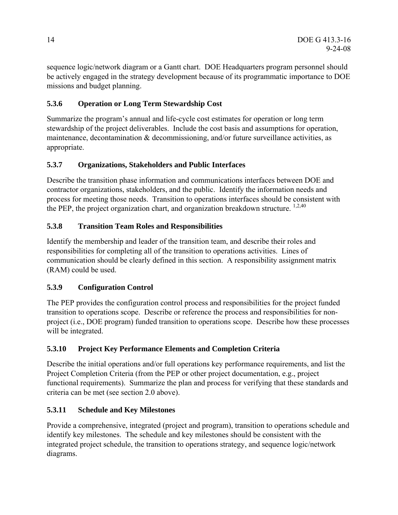sequence logic/network diagram or a Gantt chart. DOE Headquarters program personnel should be actively engaged in the strategy development because of its programmatic importance to DOE missions and budget planning.

## **5.3.6 Operation or Long Term Stewardship Cost**

Summarize the program's annual and life-cycle cost estimates for operation or long term stewardship of the project deliverables. Include the cost basis and assumptions for operation, maintenance, decontamination & decommissioning, and/or future surveillance activities, as appropriate.

## **5.3.7 Organizations, Stakeholders and Public Interfaces**

Describe the transition phase information and communications interfaces between DOE and contractor organizations, stakeholders, and the public. Identify the information needs and process for meeting those needs. Transition to operations interfaces should be consistent with the PEP, the project organization chart, and organization breakdown structure. <sup>1,2,40</sup>

## **5.3.8 Transition Team Roles and Responsibilities**

Identify the membership and leader of the transition team, and describe their roles and responsibilities for completing all of the transition to operations activities. Lines of communication should be clearly defined in this section. A responsibility assignment matrix (RAM) could be used.

## **5.3.9 Configuration Control**

The PEP provides the configuration control process and responsibilities for the project funded transition to operations scope. Describe or reference the process and responsibilities for nonproject (i.e., DOE program) funded transition to operations scope. Describe how these processes will be integrated.

## **5.3.10 Project Key Performance Elements and Completion Criteria**

Describe the initial operations and/or full operations key performance requirements, and list the Project Completion Criteria (from the PEP or other project documentation, e.g., project functional requirements). Summarize the plan and process for verifying that these standards and criteria can be met (see section 2.0 above).

## **5.3.11 Schedule and Key Milestones**

Provide a comprehensive, integrated (project and program), transition to operations schedule and identify key milestones. The schedule and key milestones should be consistent with the integrated project schedule, the transition to operations strategy, and sequence logic/network diagrams.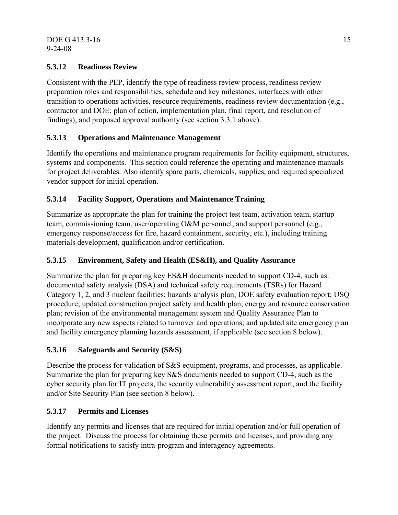## **5.3.12 Readiness Review**

Consistent with the PEP, identify the type of readiness review process, readiness review preparation roles and responsibilities, schedule and key milestones, interfaces with other transition to operations activities, resource requirements, readiness review documentation (e.g., contractor and DOE: plan of action, implementation plan, final report, and resolution of findings), and proposed approval authority (see section 3.3.1 above).

## **5.3.13 Operations and Maintenance Management**

Identify the operations and maintenance program requirements for facility equipment, structures, systems and components. This section could reference the operating and maintenance manuals for project deliverables. Also identify spare parts, chemicals, supplies, and required specialized vendor support for initial operation.

## **5.3.14 Facility Support, Operations and Maintenance Training**

Summarize as appropriate the plan for training the project test team, activation team, startup team, commissioning team, user/operating O&M personnel, and support personnel (e.g., emergency response/access for fire, hazard containment, security, etc.), including training materials development, qualification and/or certification.

## **5.3.15 Environment, Safety and Health (ES&H), and Quality Assurance**

Summarize the plan for preparing key ES&H documents needed to support CD-4, such as: documented safety analysis (DSA) and technical safety requirements (TSRs) for Hazard Category 1, 2, and 3 nuclear facilities; hazards analysis plan; DOE safety evaluation report; USQ procedure; updated construction project safety and health plan; energy and resource conservation plan; revision of the environmental management system and Quality Assurance Plan to incorporate any new aspects related to turnover and operations; and updated site emergency plan and facility emergency planning hazards assessment, if applicable (see section 8 below).

## **5.3.16 Safeguards and Security (S&S)**

Describe the process for validation of S&S equipment, programs, and processes, as applicable. Summarize the plan for preparing key S&S documents needed to support CD-4, such as the cyber security plan for IT projects, the security vulnerability assessment report, and the facility and/or Site Security Plan (see section 8 below).

## **5.3.17 Permits and Licenses**

Identify any permits and licenses that are required for initial operation and/or full operation of the project. Discuss the process for obtaining these permits and licenses, and providing any formal notifications to satisfy intra-program and interagency agreements.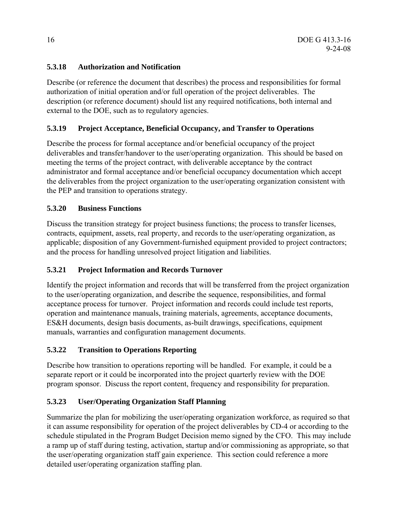## **5.3.18 Authorization and Notification**

Describe (or reference the document that describes) the process and responsibilities for formal authorization of initial operation and/or full operation of the project deliverables. The description (or reference document) should list any required notifications, both internal and external to the DOE, such as to regulatory agencies.

#### **5.3.19 Project Acceptance, Beneficial Occupancy, and Transfer to Operations**

Describe the process for formal acceptance and/or beneficial occupancy of the project deliverables and transfer/handover to the user/operating organization. This should be based on meeting the terms of the project contract, with deliverable acceptance by the contract administrator and formal acceptance and/or beneficial occupancy documentation which accept the deliverables from the project organization to the user/operating organization consistent with the PEP and transition to operations strategy.

#### **5.3.20 Business Functions**

Discuss the transition strategy for project business functions; the process to transfer licenses, contracts, equipment, assets, real property, and records to the user/operating organization, as applicable; disposition of any Government-furnished equipment provided to project contractors; and the process for handling unresolved project litigation and liabilities.

## **5.3.21 Project Information and Records Turnover**

Identify the project information and records that will be transferred from the project organization to the user/operating organization, and describe the sequence, responsibilities, and formal acceptance process for turnover. Project information and records could include test reports, operation and maintenance manuals, training materials, agreements, acceptance documents, ES&H documents, design basis documents, as-built drawings, specifications, equipment manuals, warranties and configuration management documents.

## **5.3.22 Transition to Operations Reporting**

Describe how transition to operations reporting will be handled. For example, it could be a separate report or it could be incorporated into the project quarterly review with the DOE program sponsor. Discuss the report content, frequency and responsibility for preparation.

## **5.3.23 User/Operating Organization Staff Planning**

Summarize the plan for mobilizing the user/operating organization workforce, as required so that it can assume responsibility for operation of the project deliverables by CD-4 or according to the schedule stipulated in the Program Budget Decision memo signed by the CFO. This may include a ramp up of staff during testing, activation, startup and/or commissioning as appropriate, so that the user/operating organization staff gain experience. This section could reference a more detailed user/operating organization staffing plan.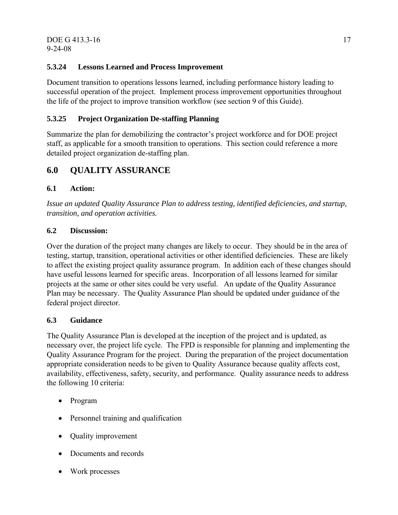## **5.3.24 Lessons Learned and Process Improvement**

Document transition to operations lessons learned, including performance history leading to successful operation of the project. Implement process improvement opportunities throughout the life of the project to improve transition workflow (see section 9 of this Guide).

## **5.3.25 Project Organization De-staffing Planning**

Summarize the plan for demobilizing the contractor's project workforce and for DOE project staff, as applicable for a smooth transition to operations. This section could reference a more detailed project organization de-staffing plan.

## **6.0 QUALITY ASSURANCE**

#### **6.1 Action:**

*Issue an updated Quality Assurance Plan to address testing, identified deficiencies, and startup, transition, and operation activities.* 

#### **6.2 Discussion:**

Over the duration of the project many changes are likely to occur. They should be in the area of testing, startup, transition, operational activities or other identified deficiencies. These are likely to affect the existing project quality assurance program. In addition each of these changes should have useful lessons learned for specific areas. Incorporation of all lessons learned for similar projects at the same or other sites could be very useful. An update of the Quality Assurance Plan may be necessary. The Quality Assurance Plan should be updated under guidance of the federal project director.

#### **6.3 Guidance**

The Quality Assurance Plan is developed at the inception of the project and is updated, as necessary over, the project life cycle. The FPD is responsible for planning and implementing the Quality Assurance Program for the project. During the preparation of the project documentation appropriate consideration needs to be given to Quality Assurance because quality affects cost, availability, effectiveness, safety, security, and performance. Quality assurance needs to address the following 10 criteria:

- Program
- Personnel training and qualification
- Quality improvement
- Documents and records
- Work processes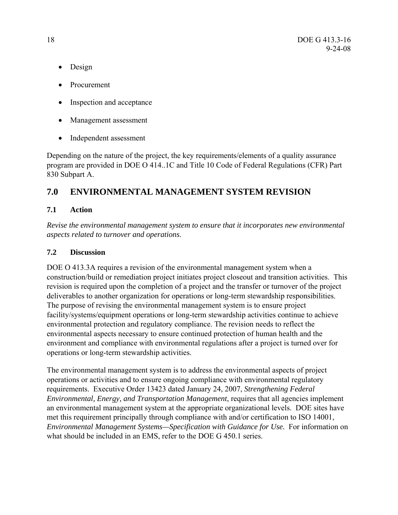- Design
- Procurement
- Inspection and acceptance
- Management assessment
- Independent assessment

Depending on the nature of the project, the key requirements/elements of a quality assurance program are provided in DOE O 414..1C and Title 10 Code of Federal Regulations (CFR) Part 830 Subpart A.

## **7.0 ENVIRONMENTAL MANAGEMENT SYSTEM REVISION**

## **7.1 Action**

*Revise the environmental management system to ensure that it incorporates new environmental aspects related to turnover and operations*.

## **7.2 Discussion**

DOE O 413.3A requires a revision of the environmental management system when a construction/build or remediation project initiates project closeout and transition activities. This revision is required upon the completion of a project and the transfer or turnover of the project deliverables to another organization for operations or long-term stewardship responsibilities. The purpose of revising the environmental management system is to ensure project facility/systems/equipment operations or long-term stewardship activities continue to achieve environmental protection and regulatory compliance. The revision needs to reflect the environmental aspects necessary to ensure continued protection of human health and the environment and compliance with environmental regulations after a project is turned over for operations or long-term stewardship activities.

The environmental management system is to address the environmental aspects of project operations or activities and to ensure ongoing compliance with environmental regulatory requirements. Executive Order 13423 dated January 24, 2007, *Strengthening Federal Environmental, Energy, and Transportation Management*, requires that all agencies implement an environmental management system at the appropriate organizational levels. DOE sites have met this requirement principally through compliance with and/or certification to ISO 14001, *Environmental Management Systems—Specification with Guidance for Use.* For information on what should be included in an EMS, refer to the DOE G 450.1 series.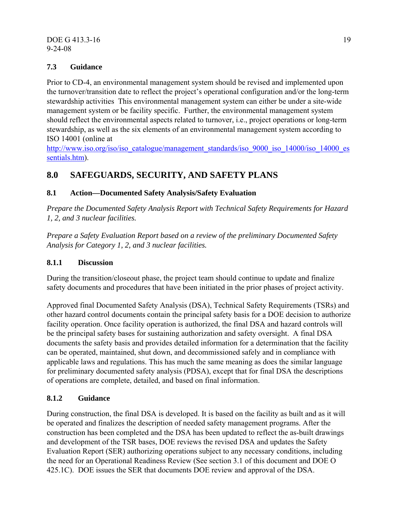#### DOE G 413.3-16 19 9-24-08

## **7.3 Guidance**

Prior to CD-4, an environmental management system should be revised and implemented upon the turnover/transition date to reflect the project's operational configuration and/or the long-term stewardship activities This environmental management system can either be under a site-wide management system or be facility specific. Further, the environmental management system should reflect the environmental aspects related to turnover, i.e., project operations or long-term stewardship, as well as the six elements of an environmental management system according to ISO 14001 (online at

http://www.iso.org/iso/iso\_catalogue/management\_standards/iso\_9000\_iso\_14000/iso\_14000\_es sentials.htm).

## **8.0 SAFEGUARDS, SECURITY, AND SAFETY PLANS**

## **8.1 Action—Documented Safety Analysis/Safety Evaluation**

*Prepare the Documented Safety Analysis Report with Technical Safety Requirements for Hazard 1, 2, and 3 nuclear facilities.* 

*Prepare a Safety Evaluation Report based on a review of the preliminary Documented Safety Analysis for Category 1, 2, and 3 nuclear facilities.* 

#### **8.1.1 Discussion**

During the transition/closeout phase, the project team should continue to update and finalize safety documents and procedures that have been initiated in the prior phases of project activity.

Approved final Documented Safety Analysis (DSA), Technical Safety Requirements (TSRs) and other hazard control documents contain the principal safety basis for a DOE decision to authorize facility operation. Once facility operation is authorized, the final DSA and hazard controls will be the principal safety bases for sustaining authorization and safety oversight. A final DSA documents the safety basis and provides detailed information for a determination that the facility can be operated, maintained, shut down, and decommissioned safely and in compliance with applicable laws and regulations. This has much the same meaning as does the similar language for preliminary documented safety analysis (PDSA), except that for final DSA the descriptions of operations are complete, detailed, and based on final information.

## **8.1.2 Guidance**

During construction, the final DSA is developed. It is based on the facility as built and as it will be operated and finalizes the description of needed safety management programs. After the construction has been completed and the DSA has been updated to reflect the as-built drawings and development of the TSR bases, DOE reviews the revised DSA and updates the Safety Evaluation Report (SER) authorizing operations subject to any necessary conditions, including the need for an Operational Readiness Review (See section 3.1 of this document and DOE O 425.1C). DOE issues the SER that documents DOE review and approval of the DSA.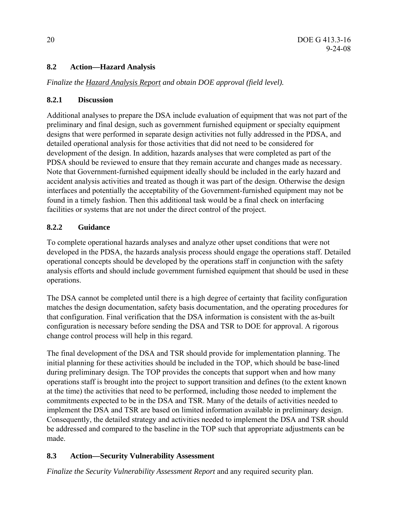## **8.2 Action—Hazard Analysis**

*Finalize the Hazard Analysis Report and obtain DOE approval (field level).* 

#### **8.2.1 Discussion**

Additional analyses to prepare the DSA include evaluation of equipment that was not part of the preliminary and final design, such as government furnished equipment or specialty equipment designs that were performed in separate design activities not fully addressed in the PDSA, and detailed operational analysis for those activities that did not need to be considered for development of the design. In addition, hazards analyses that were completed as part of the PDSA should be reviewed to ensure that they remain accurate and changes made as necessary. Note that Government-furnished equipment ideally should be included in the early hazard and accident analysis activities and treated as though it was part of the design. Otherwise the design interfaces and potentially the acceptability of the Government-furnished equipment may not be found in a timely fashion. Then this additional task would be a final check on interfacing facilities or systems that are not under the direct control of the project.

## **8.2.2 Guidance**

To complete operational hazards analyses and analyze other upset conditions that were not developed in the PDSA, the hazards analysis process should engage the operations staff. Detailed operational concepts should be developed by the operations staff in conjunction with the safety analysis efforts and should include government furnished equipment that should be used in these operations.

The DSA cannot be completed until there is a high degree of certainty that facility configuration matches the design documentation, safety basis documentation, and the operating procedures for that configuration. Final verification that the DSA information is consistent with the as-built configuration is necessary before sending the DSA and TSR to DOE for approval. A rigorous change control process will help in this regard.

The final development of the DSA and TSR should provide for implementation planning. The initial planning for these activities should be included in the TOP, which should be base-lined during preliminary design. The TOP provides the concepts that support when and how many operations staff is brought into the project to support transition and defines (to the extent known at the time) the activities that need to be performed, including those needed to implement the commitments expected to be in the DSA and TSR. Many of the details of activities needed to implement the DSA and TSR are based on limited information available in preliminary design. Consequently, the detailed strategy and activities needed to implement the DSA and TSR should be addressed and compared to the baseline in the TOP such that appropriate adjustments can be made.

## **8.3 Action—Security Vulnerability Assessment**

*Finalize the Security Vulnerability Assessment Report* and any required security plan.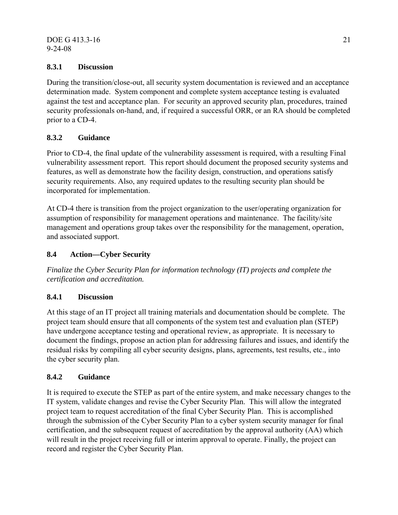#### DOE G 413.3-16 21 9-24-08

## **8.3.1 Discussion**

During the transition/close-out, all security system documentation is reviewed and an acceptance determination made. System component and complete system acceptance testing is evaluated against the test and acceptance plan. For security an approved security plan, procedures, trained security professionals on-hand, and, if required a successful ORR, or an RA should be completed prior to a CD-4.

## **8.3.2 Guidance**

Prior to CD-4, the final update of the vulnerability assessment is required, with a resulting Final vulnerability assessment report. This report should document the proposed security systems and features, as well as demonstrate how the facility design, construction, and operations satisfy security requirements. Also, any required updates to the resulting security plan should be incorporated for implementation.

At CD-4 there is transition from the project organization to the user/operating organization for assumption of responsibility for management operations and maintenance. The facility/site management and operations group takes over the responsibility for the management, operation, and associated support.

#### **8.4 Action—Cyber Security**

*Finalize the Cyber Security Plan for information technology (IT) projects and complete the certification and accreditation.* 

## **8.4.1 Discussion**

At this stage of an IT project all training materials and documentation should be complete. The project team should ensure that all components of the system test and evaluation plan (STEP) have undergone acceptance testing and operational review, as appropriate. It is necessary to document the findings, propose an action plan for addressing failures and issues, and identify the residual risks by compiling all cyber security designs, plans, agreements, test results, etc., into the cyber security plan.

#### **8.4.2 Guidance**

It is required to execute the STEP as part of the entire system, and make necessary changes to the IT system, validate changes and revise the Cyber Security Plan. This will allow the integrated project team to request accreditation of the final Cyber Security Plan. This is accomplished through the submission of the Cyber Security Plan to a cyber system security manager for final certification, and the subsequent request of accreditation by the approval authority (AA) which will result in the project receiving full or interim approval to operate. Finally, the project can record and register the Cyber Security Plan.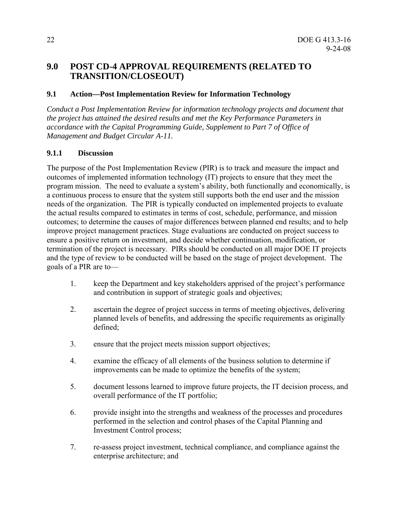## **9.0 POST CD-4 APPROVAL REQUIREMENTS (RELATED TO TRANSITION/CLOSEOUT)**

#### **9.1 Action—Post Implementation Review for Information Technology**

*Conduct a Post Implementation Review for information technology projects and document that the project has attained the desired results and met the Key Performance Parameters in accordance with the Capital Programming Guide, Supplement to Part 7 of Office of Management and Budget Circular A-11.* 

#### **9.1.1 Discussion**

The purpose of the Post Implementation Review (PIR) is to track and measure the impact and outcomes of implemented information technology (IT) projects to ensure that they meet the program mission. The need to evaluate a system's ability, both functionally and economically, is a continuous process to ensure that the system still supports both the end user and the mission needs of the organization. The PIR is typically conducted on implemented projects to evaluate the actual results compared to estimates in terms of cost, schedule, performance, and mission outcomes; to determine the causes of major differences between planned end results; and to help improve project management practices. Stage evaluations are conducted on project success to ensure a positive return on investment, and decide whether continuation, modification, or termination of the project is necessary. PIRs should be conducted on all major DOE IT projects and the type of review to be conducted will be based on the stage of project development. The goals of a PIR are to—

- 1. keep the Department and key stakeholders apprised of the project's performance and contribution in support of strategic goals and objectives;
- 2. ascertain the degree of project success in terms of meeting objectives, delivering planned levels of benefits, and addressing the specific requirements as originally defined;
- 3. ensure that the project meets mission support objectives;
- 4. examine the efficacy of all elements of the business solution to determine if improvements can be made to optimize the benefits of the system;
- 5. document lessons learned to improve future projects, the IT decision process, and overall performance of the IT portfolio;
- 6. provide insight into the strengths and weakness of the processes and procedures performed in the selection and control phases of the Capital Planning and Investment Control process;
- 7. re-assess project investment, technical compliance, and compliance against the enterprise architecture; and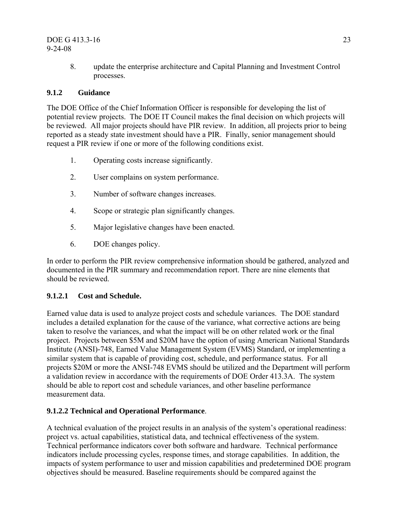#### DOE G 413.3-16 23 9-24-08

8. update the enterprise architecture and Capital Planning and Investment Control processes.

#### **9.1.2 Guidance**

The DOE Office of the Chief Information Officer is responsible for developing the list of potential review projects. The DOE IT Council makes the final decision on which projects will be reviewed. All major projects should have PIR review. In addition, all projects prior to being reported as a steady state investment should have a PIR. Finally, senior management should request a PIR review if one or more of the following conditions exist.

- 1. Operating costs increase significantly.
- 2. User complains on system performance.
- 3. Number of software changes increases.
- 4. Scope or strategic plan significantly changes.
- 5. Major legislative changes have been enacted.
- 6. DOE changes policy.

In order to perform the PIR review comprehensive information should be gathered, analyzed and documented in the PIR summary and recommendation report. There are nine elements that should be reviewed.

#### **9.1.2.1 Cost and Schedule.**

Earned value data is used to analyze project costs and schedule variances. The DOE standard includes a detailed explanation for the cause of the variance, what corrective actions are being taken to resolve the variances, and what the impact will be on other related work or the final project. Projects between \$5M and \$20M have the option of using American National Standards Institute (ANSI)-748, Earned Value Management System (EVMS) Standard, or implementing a similar system that is capable of providing cost, schedule, and performance status. For all projects \$20M or more the ANSI-748 EVMS should be utilized and the Department will perform a validation review in accordance with the requirements of DOE Order 413.3A. The system should be able to report cost and schedule variances, and other baseline performance measurement data.

#### **9.1.2.2 Technical and Operational Performance**.

A technical evaluation of the project results in an analysis of the system's operational readiness: project vs. actual capabilities, statistical data, and technical effectiveness of the system. Technical performance indicators cover both software and hardware. Technical performance indicators include processing cycles, response times, and storage capabilities. In addition, the impacts of system performance to user and mission capabilities and predetermined DOE program objectives should be measured. Baseline requirements should be compared against the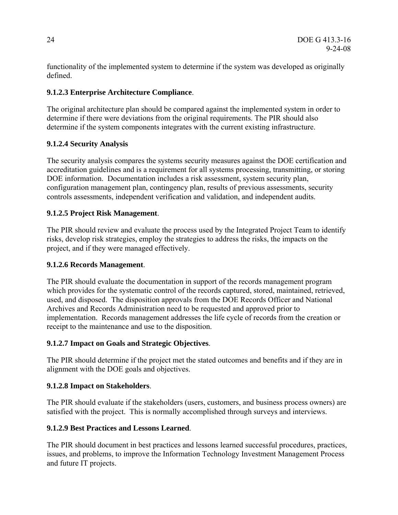functionality of the implemented system to determine if the system was developed as originally defined.

## **9.1.2.3 Enterprise Architecture Compliance**.

The original architecture plan should be compared against the implemented system in order to determine if there were deviations from the original requirements. The PIR should also determine if the system components integrates with the current existing infrastructure.

#### **9.1.2.4 Security Analysis**

The security analysis compares the systems security measures against the DOE certification and accreditation guidelines and is a requirement for all systems processing, transmitting, or storing DOE information. Documentation includes a risk assessment, system security plan, configuration management plan, contingency plan, results of previous assessments, security controls assessments, independent verification and validation, and independent audits.

#### **9.1.2.5 Project Risk Management**.

The PIR should review and evaluate the process used by the Integrated Project Team to identify risks, develop risk strategies, employ the strategies to address the risks, the impacts on the project, and if they were managed effectively.

#### **9.1.2.6 Records Management**.

The PIR should evaluate the documentation in support of the records management program which provides for the systematic control of the records captured, stored, maintained, retrieved, used, and disposed. The disposition approvals from the DOE Records Officer and National Archives and Records Administration need to be requested and approved prior to implementation. Records management addresses the life cycle of records from the creation or receipt to the maintenance and use to the disposition.

## **9.1.2.7 Impact on Goals and Strategic Objectives**.

The PIR should determine if the project met the stated outcomes and benefits and if they are in alignment with the DOE goals and objectives.

#### **9.1.2.8 Impact on Stakeholders**.

The PIR should evaluate if the stakeholders (users, customers, and business process owners) are satisfied with the project. This is normally accomplished through surveys and interviews.

## **9.1.2.9 Best Practices and Lessons Learned**.

The PIR should document in best practices and lessons learned successful procedures, practices, issues, and problems, to improve the Information Technology Investment Management Process and future IT projects.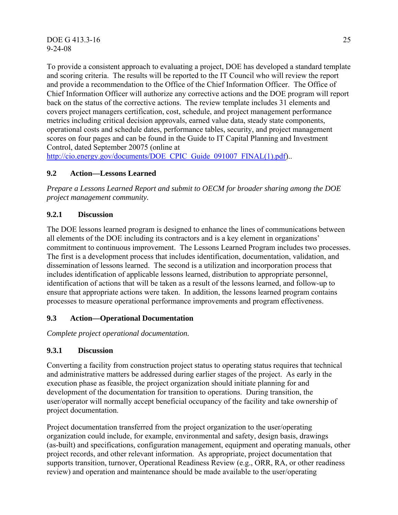To provide a consistent approach to evaluating a project, DOE has developed a standard template and scoring criteria. The results will be reported to the IT Council who will review the report and provide a recommendation to the Office of the Chief Information Officer. The Office of Chief Information Officer will authorize any corrective actions and the DOE program will report back on the status of the corrective actions. The review template includes 31 elements and covers project managers certification, cost, schedule, and project management performance metrics including critical decision approvals, earned value data, steady state components, operational costs and schedule dates, performance tables, security, and project management scores on four pages and can be found in the Guide to IT Capital Planning and Investment Control, dated September 20075 (online at

http://cio.energy.gov/documents/DOE\_CPIC\_Guide\_091007\_FINAL(1).pdf)...

#### **9.2 Action—Lessons Learned**

*Prepare a Lessons Learned Report and submit to OECM for broader sharing among the DOE project management community.* 

#### **9.2.1 Discussion**

The DOE lessons learned program is designed to enhance the lines of communications between all elements of the DOE including its contractors and is a key element in organizations' commitment to continuous improvement. The Lessons Learned Program includes two processes. The first is a development process that includes identification, documentation, validation, and dissemination of lessons learned. The second is a utilization and incorporation process that includes identification of applicable lessons learned, distribution to appropriate personnel, identification of actions that will be taken as a result of the lessons learned, and follow-up to ensure that appropriate actions were taken. In addition, the lessons learned program contains processes to measure operational performance improvements and program effectiveness.

#### **9.3 Action—Operational Documentation**

*Complete project operational documentation.*

#### **9.3.1 Discussion**

Converting a facility from construction project status to operating status requires that technical and administrative matters be addressed during earlier stages of the project. As early in the execution phase as feasible, the project organization should initiate planning for and development of the documentation for transition to operations. During transition, the user/operator will normally accept beneficial occupancy of the facility and take ownership of project documentation.

Project documentation transferred from the project organization to the user/operating organization could include, for example, environmental and safety, design basis, drawings (as-built) and specifications, configuration management, equipment and operating manuals, other project records, and other relevant information. As appropriate, project documentation that supports transition, turnover, Operational Readiness Review (e.g., ORR, RA, or other readiness review) and operation and maintenance should be made available to the user/operating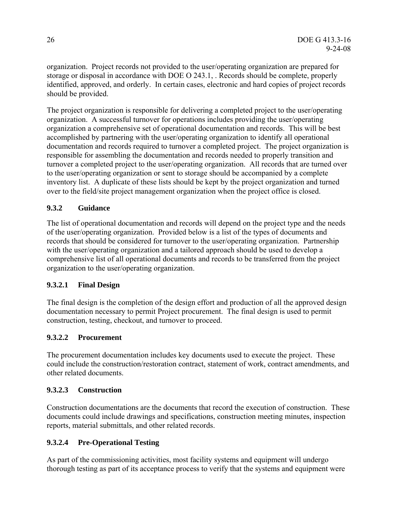organization. Project records not provided to the user/operating organization are prepared for storage or disposal in accordance with DOE O 243.1, . Records should be complete, properly identified, approved, and orderly. In certain cases, electronic and hard copies of project records should be provided.

The project organization is responsible for delivering a completed project to the user/operating organization. A successful turnover for operations includes providing the user/operating organization a comprehensive set of operational documentation and records. This will be best accomplished by partnering with the user/operating organization to identify all operational documentation and records required to turnover a completed project. The project organization is responsible for assembling the documentation and records needed to properly transition and turnover a completed project to the user/operating organization. All records that are turned over to the user/operating organization or sent to storage should be accompanied by a complete inventory list. A duplicate of these lists should be kept by the project organization and turned over to the field/site project management organization when the project office is closed.

#### **9.3.2 Guidance**

The list of operational documentation and records will depend on the project type and the needs of the user/operating organization. Provided below is a list of the types of documents and records that should be considered for turnover to the user/operating organization. Partnership with the user/operating organization and a tailored approach should be used to develop a comprehensive list of all operational documents and records to be transferred from the project organization to the user/operating organization.

#### **9.3.2.1 Final Design**

The final design is the completion of the design effort and production of all the approved design documentation necessary to permit Project procurement. The final design is used to permit construction, testing, checkout, and turnover to proceed.

#### **9.3.2.2 Procurement**

The procurement documentation includes key documents used to execute the project. These could include the construction/restoration contract, statement of work, contract amendments, and other related documents.

#### **9.3.2.3 Construction**

Construction documentations are the documents that record the execution of construction. These documents could include drawings and specifications, construction meeting minutes, inspection reports, material submittals, and other related records.

#### **9.3.2.4 Pre-Operational Testing**

As part of the commissioning activities, most facility systems and equipment will undergo thorough testing as part of its acceptance process to verify that the systems and equipment were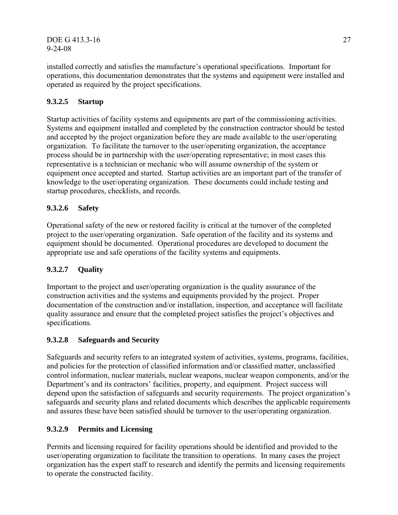DOE G 413.3-16 27 9-24-08

installed correctly and satisfies the manufacture's operational specifications. Important for operations, this documentation demonstrates that the systems and equipment were installed and operated as required by the project specifications.

## **9.3.2.5 Startup**

Startup activities of facility systems and equipments are part of the commissioning activities. Systems and equipment installed and completed by the construction contractor should be tested and accepted by the project organization before they are made available to the user/operating organization. To facilitate the turnover to the user/operating organization, the acceptance process should be in partnership with the user/operating representative; in most cases this representative is a technician or mechanic who will assume ownership of the system or equipment once accepted and started. Startup activities are an important part of the transfer of knowledge to the user/operating organization. These documents could include testing and startup procedures, checklists, and records.

#### **9.3.2.6 Safety**

Operational safety of the new or restored facility is critical at the turnover of the completed project to the user/operating organization. Safe operation of the facility and its systems and equipment should be documented. Operational procedures are developed to document the appropriate use and safe operations of the facility systems and equipments.

#### **9.3.2.7 Quality**

Important to the project and user/operating organization is the quality assurance of the construction activities and the systems and equipments provided by the project. Proper documentation of the construction and/or installation, inspection, and acceptance will facilitate quality assurance and ensure that the completed project satisfies the project's objectives and specifications.

#### **9.3.2.8 Safeguards and Security**

Safeguards and security refers to an integrated system of activities, systems, programs, facilities, and policies for the protection of classified information and/or classified matter, unclassified control information, nuclear materials, nuclear weapons, nuclear weapon components, and/or the Department's and its contractors' facilities, property, and equipment. Project success will depend upon the satisfaction of safeguards and security requirements. The project organization's safeguards and security plans and related documents which describes the applicable requirements and assures these have been satisfied should be turnover to the user/operating organization.

#### **9.3.2.9 Permits and Licensing**

Permits and licensing required for facility operations should be identified and provided to the user/operating organization to facilitate the transition to operations. In many cases the project organization has the expert staff to research and identify the permits and licensing requirements to operate the constructed facility.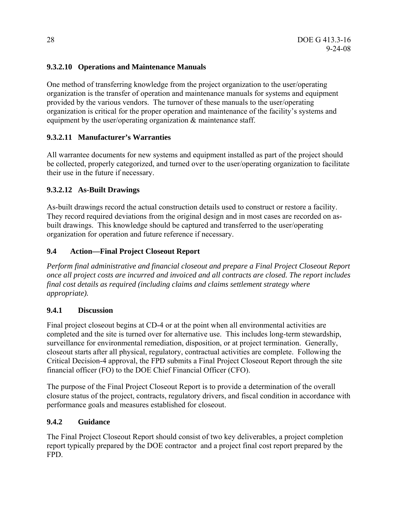## **9.3.2.10 Operations and Maintenance Manuals**

One method of transferring knowledge from the project organization to the user/operating organization is the transfer of operation and maintenance manuals for systems and equipment provided by the various vendors. The turnover of these manuals to the user/operating organization is critical for the proper operation and maintenance of the facility's systems and equipment by the user/operating organization & maintenance staff.

#### **9.3.2.11 Manufacturer's Warranties**

All warrantee documents for new systems and equipment installed as part of the project should be collected, properly categorized, and turned over to the user/operating organization to facilitate their use in the future if necessary.

#### **9.3.2.12 As-Built Drawings**

As-built drawings record the actual construction details used to construct or restore a facility. They record required deviations from the original design and in most cases are recorded on asbuilt drawings. This knowledge should be captured and transferred to the user/operating organization for operation and future reference if necessary.

#### **9.4 Action—Final Project Closeout Report**

*Perform final administrative and financial closeout and prepare a Final Project Closeout Report once all project costs are incurred and invoiced and all contracts are closed. The report includes final cost details as required (including claims and claims settlement strategy where appropriate).*

#### **9.4.1 Discussion**

Final project closeout begins at CD-4 or at the point when all environmental activities are completed and the site is turned over for alternative use. This includes long-term stewardship, surveillance for environmental remediation, disposition, or at project termination. Generally, closeout starts after all physical, regulatory, contractual activities are complete. Following the Critical Decision-4 approval, the FPD submits a Final Project Closeout Report through the site financial officer (FO) to the DOE Chief Financial Officer (CFO).

The purpose of the Final Project Closeout Report is to provide a determination of the overall closure status of the project, contracts, regulatory drivers, and fiscal condition in accordance with performance goals and measures established for closeout.

#### **9.4.2 Guidance**

The Final Project Closeout Report should consist of two key deliverables, a project completion report typically prepared by the DOE contractor and a project final cost report prepared by the FPD.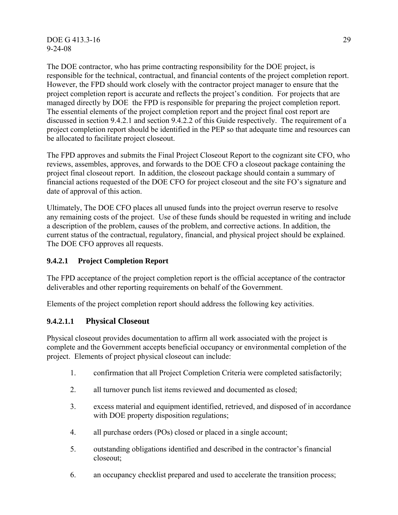DOE G 413.3-16 29 9-24-08

The DOE contractor, who has prime contracting responsibility for the DOE project, is responsible for the technical, contractual, and financial contents of the project completion report. However, the FPD should work closely with the contractor project manager to ensure that the project completion report is accurate and reflects the project's condition. For projects that are managed directly by DOE the FPD is responsible for preparing the project completion report. The essential elements of the project completion report and the project final cost report are discussed in section 9.4.2.1 and section 9.4.2.2 of this Guide respectively. The requirement of a project completion report should be identified in the PEP so that adequate time and resources can be allocated to facilitate project closeout.

The FPD approves and submits the Final Project Closeout Report to the cognizant site CFO, who reviews, assembles, approves, and forwards to the DOE CFO a closeout package containing the project final closeout report. In addition, the closeout package should contain a summary of financial actions requested of the DOE CFO for project closeout and the site FO's signature and date of approval of this action.

Ultimately, The DOE CFO places all unused funds into the project overrun reserve to resolve any remaining costs of the project. Use of these funds should be requested in writing and include a description of the problem, causes of the problem, and corrective actions. In addition, the current status of the contractual, regulatory, financial, and physical project should be explained. The DOE CFO approves all requests.

#### **9.4.2.1 Project Completion Report**

The FPD acceptance of the project completion report is the official acceptance of the contractor deliverables and other reporting requirements on behalf of the Government.

Elements of the project completion report should address the following key activities.

## **9.4.2.1.1 Physical Closeout**

Physical closeout provides documentation to affirm all work associated with the project is complete and the Government accepts beneficial occupancy or environmental completion of the project. Elements of project physical closeout can include:

- 1. confirmation that all Project Completion Criteria were completed satisfactorily;
- 2. all turnover punch list items reviewed and documented as closed;
- 3. excess material and equipment identified, retrieved, and disposed of in accordance with DOE property disposition regulations;
- 4. all purchase orders (POs) closed or placed in a single account;
- 5. outstanding obligations identified and described in the contractor's financial closeout;
- 6. an occupancy checklist prepared and used to accelerate the transition process;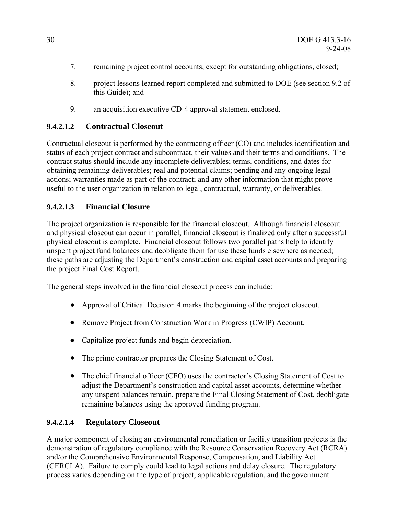- 7. remaining project control accounts, except for outstanding obligations, closed;
- 8. project lessons learned report completed and submitted to DOE (see section 9.2 of this Guide); and
- 9. an acquisition executive CD-4 approval statement enclosed.

## **9.4.2.1.2 Contractual Closeout**

Contractual closeout is performed by the contracting officer (CO) and includes identification and status of each project contract and subcontract, their values and their terms and conditions. The contract status should include any incomplete deliverables; terms, conditions, and dates for obtaining remaining deliverables; real and potential claims; pending and any ongoing legal actions; warranties made as part of the contract; and any other information that might prove useful to the user organization in relation to legal, contractual, warranty, or deliverables.

## **9.4.2.1.3 Financial Closure**

The project organization is responsible for the financial closeout. Although financial closeout and physical closeout can occur in parallel, financial closeout is finalized only after a successful physical closeout is complete. Financial closeout follows two parallel paths help to identify unspent project fund balances and deobligate them for use these funds elsewhere as needed; these paths are adjusting the Department's construction and capital asset accounts and preparing the project Final Cost Report.

The general steps involved in the financial closeout process can include:

- Approval of Critical Decision 4 marks the beginning of the project closeout.
- Remove Project from Construction Work in Progress (CWIP) Account.
- Capitalize project funds and begin depreciation.
- The prime contractor prepares the Closing Statement of Cost.
- The chief financial officer (CFO) uses the contractor's Closing Statement of Cost to adjust the Department's construction and capital asset accounts, determine whether any unspent balances remain, prepare the Final Closing Statement of Cost, deobligate remaining balances using the approved funding program.

## **9.4.2.1.4 Regulatory Closeout**

A major component of closing an environmental remediation or facility transition projects is the demonstration of regulatory compliance with the Resource Conservation Recovery Act (RCRA) and/or the Comprehensive Environmental Response, Compensation, and Liability Act (CERCLA). Failure to comply could lead to legal actions and delay closure. The regulatory process varies depending on the type of project, applicable regulation, and the government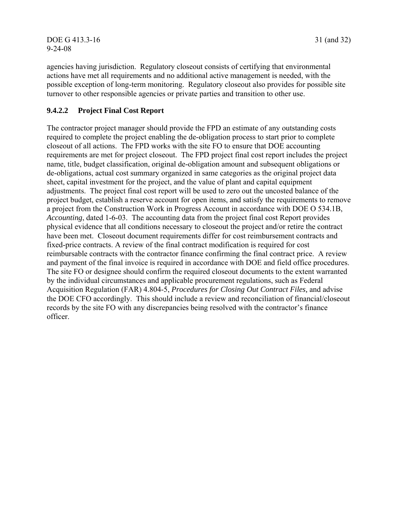agencies having jurisdiction. Regulatory closeout consists of certifying that environmental actions have met all requirements and no additional active management is needed, with the possible exception of long-term monitoring. Regulatory closeout also provides for possible site turnover to other responsible agencies or private parties and transition to other use.

#### **9.4.2.2 Project Final Cost Report**

The contractor project manager should provide the FPD an estimate of any outstanding costs required to complete the project enabling the de-obligation process to start prior to complete closeout of all actions. The FPD works with the site FO to ensure that DOE accounting requirements are met for project closeout. The FPD project final cost report includes the project name, title, budget classification, original de-obligation amount and subsequent obligations or de-obligations, actual cost summary organized in same categories as the original project data sheet, capital investment for the project, and the value of plant and capital equipment adjustments. The project final cost report will be used to zero out the uncosted balance of the project budget, establish a reserve account for open items, and satisfy the requirements to remove a project from the Construction Work in Progress Account in accordance with DOE O 534.1B, *Accounting*, dated 1-6-03. The accounting data from the project final cost Report provides physical evidence that all conditions necessary to closeout the project and/or retire the contract have been met. Closeout document requirements differ for cost reimbursement contracts and fixed-price contracts. A review of the final contract modification is required for cost reimbursable contracts with the contractor finance confirming the final contract price. A review and payment of the final invoice is required in accordance with DOE and field office procedures. The site FO or designee should confirm the required closeout documents to the extent warranted by the individual circumstances and applicable procurement regulations, such as Federal Acquisition Regulation (FAR) 4.804-5, *Procedures for Closing Out Contract Files,* and advise the DOE CFO accordingly. This should include a review and reconciliation of financial/closeout records by the site FO with any discrepancies being resolved with the contractor's finance officer.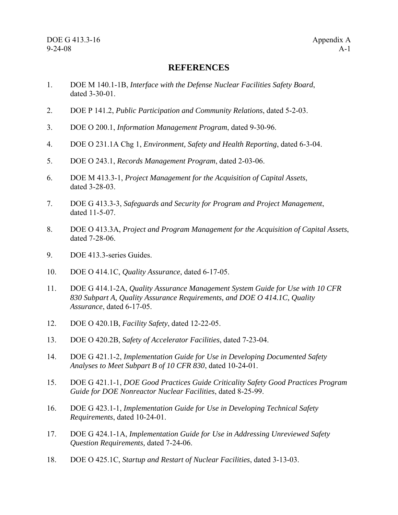#### **REFERENCES**

- 1. DOE M 140.1-1B, *Interface with the Defense Nuclear Facilities Safety Board*, dated 3-30-01.
- 2. DOE P 141.2, *Public Participation and Community Relations*, dated 5-2-03.
- 3. DOE O 200.1, *Information Management Program*, dated 9-30-96.
- 4. DOE O 231.1A Chg 1, *Environment, Safety and Health Reporting*, dated 6-3-04.
- 5. DOE O 243.1, *Records Management Program*, dated 2-03-06.
- 6. DOE M 413.3-1, *Project Management for the Acquisition of Capital Assets*, dated 3-28-03.
- 7. DOE G 413.3-3, *Safeguards and Security for Program and Project Management*, dated 11-5-07.
- 8. DOE O 413.3A, *Project and Program Management for the Acquisition of Capital Assets*, dated 7-28-06.
- 9. DOE 413.3-series Guides.
- 10. DOE O 414.1C, *Quality Assurance*, dated 6-17-05.
- 11. DOE G 414.1-2A, *Quality Assurance Management System Guide for Use with 10 CFR 830 Subpart A, Quality Assurance Requirements, and DOE O 414.1C, Quality Assurance*, dated 6-17-05.
- 12. DOE O 420.1B, *Facility Safety*, dated 12-22-05.
- 13. DOE O 420.2B, *Safety of Accelerator Facilities*, dated 7-23-04.
- 14. DOE G 421.1-2, *Implementation Guide for Use in Developing Documented Safety Analyses to Meet Subpart B of 10 CFR 830*, dated 10-24-01.
- 15. DOE G 421.1-1, *DOE Good Practices Guide Criticality Safety Good Practices Program Guide for DOE Nonreactor Nuclear Facilities*, dated 8-25-99.
- 16. DOE G 423.1-1, *Implementation Guide for Use in Developing Technical Safety Requirements*, dated 10-24-01.
- 17. DOE G 424.1-1A, *Implementation Guide for Use in Addressing Unreviewed Safety Question Requirements,* dated 7-24-06.
- 18. DOE O 425.1C, *Startup and Restart of Nuclear Facilities*, dated 3-13-03.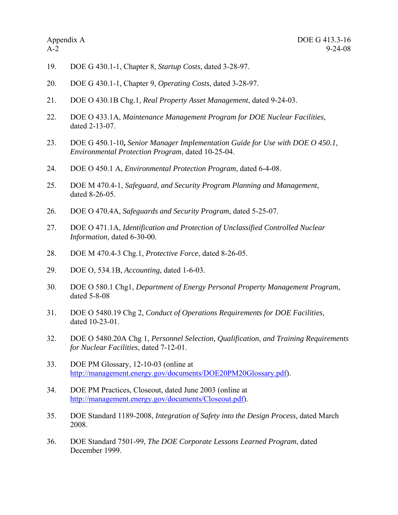- 19. DOE G 430.1-1, Chapter 8, *Startup Costs*, dated 3-28-97.
- 20. DOE G 430.1-1, Chapter 9, *Operating Costs*, dated 3-28-97.
- 21. DOE O 430.1B Chg.1, *Real Property Asset Management*, dated 9-24-03.
- 22. DOE O 433.1A, *Maintenance Management Program for DOE Nuclear Facilities*, dated 2-13-07.
- 23. DOE G 450.1-10**,** *Senior Manager Implementation Guide for Use with DOE O 450.1, Environmental Protection Program*, dated 10-25-04.
- 24. DOE O 450.1 A, *Environmental Protection Program*, dated 6-4-08.
- 25. DOE M 470.4-1, *Safeguard, and Security Program Planning and Management*, dated 8-26-05.
- 26. DOE O 470.4A, *Safeguards and Security Program*, dated 5-25-07.
- 27. DOE O 471.1A, *Identification and Protection of Unclassified Controlled Nuclear Information*, dated 6-30-00.
- 28. DOE M 470.4-3 Chg.1, *Protective Force*, dated 8-26-05.
- 29. DOE O, 534.1B, *Accounting*, dated 1-6-03.
- 30. DOE O 580.1 Chg1, *Department of Energy Personal Property Management Program,*  dated 5-8-08
- 31. DOE O 5480.19 Chg 2, *Conduct of Operations Requirements for DOE Facilities*, dated 10-23-01.
- 32. DOE O 5480.20A Chg 1, *Personnel Selection, Qualification, and Training Requirements for Nuclear Facilities*, dated 7-12-01.
- 33. DOE PM Glossary, 12-10-03 (online at http://management.energy.gov/documents/DOE20PM20Glossary.pdf).
- 34. DOE PM Practices, Closeout, dated June 2003 (online at http://management.energy.gov/documents/Closeout.pdf).
- 35. DOE Standard 1189-2008, *Integration of Safety into the Design Process,* dated March 2008.
- 36. DOE Standard 7501-99, *The DOE Corporate Lessons Learned Program*, dated December 1999.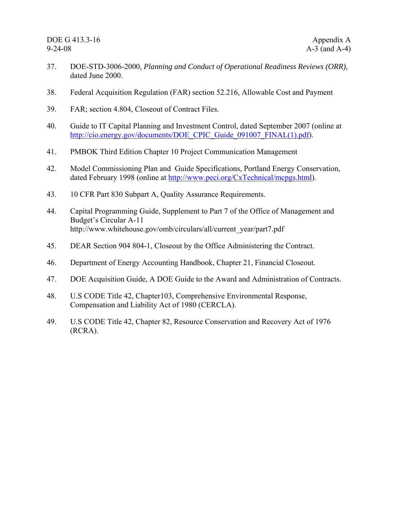- 37. DOE-STD-3006-2000, *Planning and Conduct of Operational Readiness Reviews (ORR)*, dated June 2000.
- 38. Federal Acquisition Regulation (FAR) section 52.216, Allowable Cost and Payment
- 39. FAR; section 4.804, Closeout of Contract Files.
- 40. Guide to IT Capital Planning and Investment Control, dated September 2007 (online at http://cio.energy.gov/documents/DOE\_CPIC\_Guide\_091007\_FINAL(1).pdf).
- 41. PMBOK Third Edition Chapter 10 Project Communication Management
- 42. Model Commissioning Plan and Guide Specifications, Portland Energy Conservation, dated February 1998 (online at http://www.peci.org/CxTechnical/mcpgs.html).
- 43. 10 CFR Part 830 Subpart A, Quality Assurance Requirements.
- 44. Capital Programming Guide, Supplement to Part 7 of the Office of Management and Budget's Circular A-11 http://www.whitehouse.gov/omb/circulars/all/current\_year/part7.pdf
- 45. DEAR Section 904 804-1, Closeout by the Office Administering the Contract.
- 46. Department of Energy Accounting Handbook, Chapter 21, Financial Closeout.
- 47. DOE Acquisition Guide, A DOE Guide to the Award and Administration of Contracts.
- 48. U.S CODE Title 42, Chapter103, Comprehensive Environmental Response, Compensation and Liability Act of 1980 (CERCLA).
- 49. U.S CODE Title 42, Chapter 82, Resource Conservation and Recovery Act of 1976 (RCRA).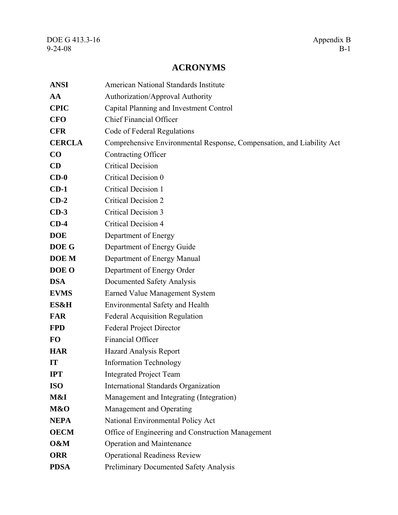## **ACRONYMS**

| <b>ANSI</b>   | <b>American National Standards Institute</b>                          |
|---------------|-----------------------------------------------------------------------|
| AA            | Authorization/Approval Authority                                      |
| <b>CPIC</b>   | Capital Planning and Investment Control                               |
| <b>CFO</b>    | <b>Chief Financial Officer</b>                                        |
| <b>CFR</b>    | Code of Federal Regulations                                           |
| <b>CERCLA</b> | Comprehensive Environmental Response, Compensation, and Liability Act |
| CO            | Contracting Officer                                                   |
| CD            | <b>Critical Decision</b>                                              |
| $CD-0$        | Critical Decision 0                                                   |
| $CD-1$        | <b>Critical Decision 1</b>                                            |
| $CD-2$        | <b>Critical Decision 2</b>                                            |
| $CD-3$        | <b>Critical Decision 3</b>                                            |
| $CD-4$        | <b>Critical Decision 4</b>                                            |
| <b>DOE</b>    | Department of Energy                                                  |
| DOE G         | Department of Energy Guide                                            |
| <b>DOE</b> M  | Department of Energy Manual                                           |
| DOE O         | Department of Energy Order                                            |
| <b>DSA</b>    | Documented Safety Analysis                                            |
| <b>EVMS</b>   | <b>Earned Value Management System</b>                                 |
| ES&H          | <b>Environmental Safety and Health</b>                                |
| <b>FAR</b>    | <b>Federal Acquisition Regulation</b>                                 |
| <b>FPD</b>    | <b>Federal Project Director</b>                                       |
| <b>FO</b>     | Financial Officer                                                     |
| <b>HAR</b>    | <b>Hazard Analysis Report</b>                                         |
| IT            | <b>Information Technology</b>                                         |
| <b>IPT</b>    | <b>Integrated Project Team</b>                                        |
| <b>ISO</b>    | <b>International Standards Organization</b>                           |
| M&I           | Management and Integrating (Integration)                              |
| M&O           | Management and Operating                                              |
| <b>NEPA</b>   | National Environmental Policy Act                                     |
| <b>OECM</b>   | Office of Engineering and Construction Management                     |
| O&M           | <b>Operation and Maintenance</b>                                      |
| <b>ORR</b>    | <b>Operational Readiness Review</b>                                   |
| <b>PDSA</b>   | Preliminary Documented Safety Analysis                                |